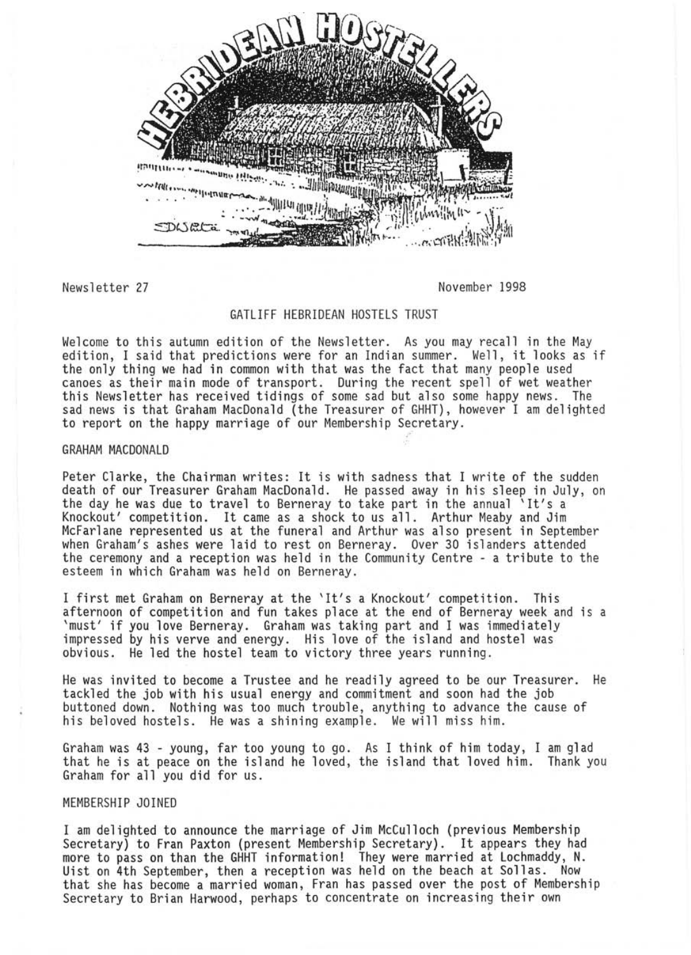

Newsletter 27 November 1998

# GATLIFF HEBRIDEAN HOSTELS TRUST

Welcome to this autumn edition of the Newsletter. As you may recall in the May edition, I said that predictions were for an Indian summer. Well, it looks as if<br>the only thing we had in common with that was the fact that many people used the only thing we had in common with that was the fact that many people used<br>canoes as their main mode of transport. During the recent spell of wet weather this Newsletter has received tidings of some sad but also some happy news. The sad news is that Graham MacDonald (the Treasurer of GHHT) , however I am delighted to report on the happy marriage of our Membership Secretary.

# GRAHAM MACDONALD

Peter Clarke, the Chairman writes: It is with sadness that I write of the sudden death of our Treasurer Graham MacDonald. He passed away in his sleep in July, on<br>the day he was due to travel to Berneray to take part in the annual 'It's a<br>Knockout' competition. It came as a shock to us all. Arthur Meaby when Graham's ashes were laid to rest on Berneray. Over 30 islanders attended the ceremony and a reception was held in the Community Centre - a tribute to the esteem in which Graham was held on Berneray.

I first met Graham on Berneray at the 'It's a Knockout' competition. This 'must' if you love Berneray. Graham was taking part and I was immediately impressed by his verve and energy. His love of the island and hostel was obvious. He led the hostel team to victory three years running.

He was invited to become a Trustee and he readily agreed to be our Treasurer. He tackled the job with his usual energy and commitment and soon had the job buttoned down . Nothing was too much trouble, anything to advance the cause of his beloved hostels. He was a shining example. We will miss him.

Graham was 43 - young, far too young to go. As I think of him today, I am glad that he is at peace on the island he loved, the island that loved him. Thank you Graham for all you did for us.

### MEMBERSHIP JOINED

I am delighted to announce the marriage of Jim McCulloch (previous Membership Secretary) to Fran Paxton (present Membership Secretary). It appears they had more to pass on than the GHHT information! They were married at Lochmaddy, N. Uist on 4th September, then a reception was held on the beach at Sallas. Now that she has become a married woman, Fran has passed *over* the post of Membership Secretary to Brian Harwood, perhaps to concentrate on increasing their own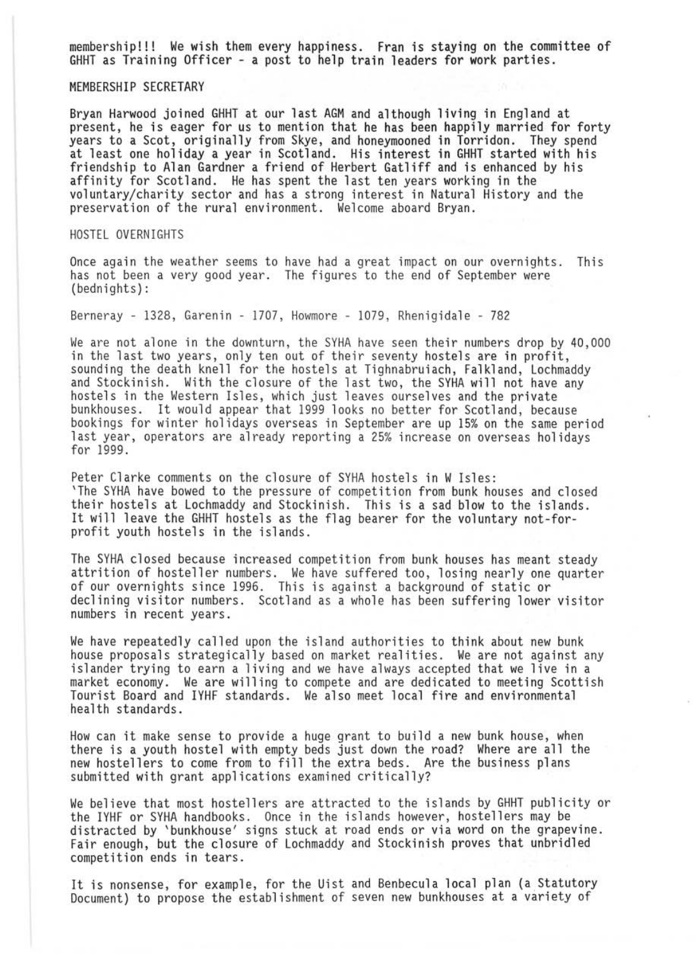membership!!! We wish them every happiness. Fran is staying on the committee of GHHT as Training Officer - a post to help train leaders for work parties.

MEMBERSHIP SECRETARY

Bryan Harwood joined GHHT at our last AGM and although living in England at present, he is eager for us to mention that he has been happily married for forty years to a Scot, originally from Skye, and honeymooned in Torridon. They spend at least one holiday a year in Scotland. His interest in GHHT started with his friendship to Alan Gardner a friend of Herbert Gatliff and is enhanced by his affinity for Scotland. He has spent the last ten years working in the voluntary/charity sector and has a strong interest in Natural History and the preservation of the rural environment. Welcome aboard Bryan.

HOSTEL OVERNIGHTS

Once again the weather seems to have had a great impact on our overnights. This has not been a very good year. The figures to the end of September were (bednights) :

Berneray - 1328, Garenin - 1707, Howmore - 1079 , Rhenigidale - 782

We are not alone in the downturn, the SYHA have seen their numbers drop by 40,000 in the last two years, only ten out of their seventy hostels are in profit. in the last two years, only ten out of their seventy hostels are in profit,<br>sounding the death knell for the hostels at Tighnabruiach, Falkland, Lochmaddy<br>and Stockinish. With the closure of the last two, the SYHA will no hostels in the Western Isles, which just leaves ourselves and the private<br>bunkhouses. It would appear that 1999 looks no better for Scotland, because bookings for winter holidays overseas in September are up 15% on the same period last year, operators are already reporting a 25% increase on overseas holidays for 1999.

Peter Clarke comments on the closure of SYHA hostels in W Isles: 'The SYHA have bowed to the pressure of competition from bunk houses and closed their hostels at Lochmaddy and Stockinish. This is a sad blow to the islands. It will leave the GHHT hostels as the flag bearer for the voluntary not-forprofit youth hostels in the islands .

The SYHA closed because increased competition from bunk houses has meant steady attrition of hosteller numbers. We have suffered too, losing nearly one quarter of our overnights since 1996. This is against a background of static or declining visitor numbers. Scotland as a whole has been suffering lower visitor numbers in recent years.

We have repeatedly called upon the island authorities to think about new bunk house proposals strategically based on market realities. We are not against any islander trying to earn a living and we have always accepted that we live in a market economy. We are willing to compete and are dedicated to meeting Scottish Tourist Board and IYHF standards. We also meet local fire and environmental health standards.

How can it make sense to provide a huge grant to build a new bunk house, when there is a youth hostel with empty beds just down the road? Where are all the new hostellers to come from to fill the extra beds. Are the business plans submitted with grant applications examined critically?

We believe that most hostellers are attracted to the islands by GHHT publicity or the IYHF or SYHA handbooks . Once in the islands however, hostellers may be distracted by 'bunkhouse' signs stuck at road ends or via word on the grapevine. Fair enough, but the closure of Lochmaddy and Stockinish proves that unbridled competition ends in tears.

It is nonsense, for example, for the Uist and Benbecula local plan (a Statutory Document) to propose the establishment of seven new bunkhouses at a variety of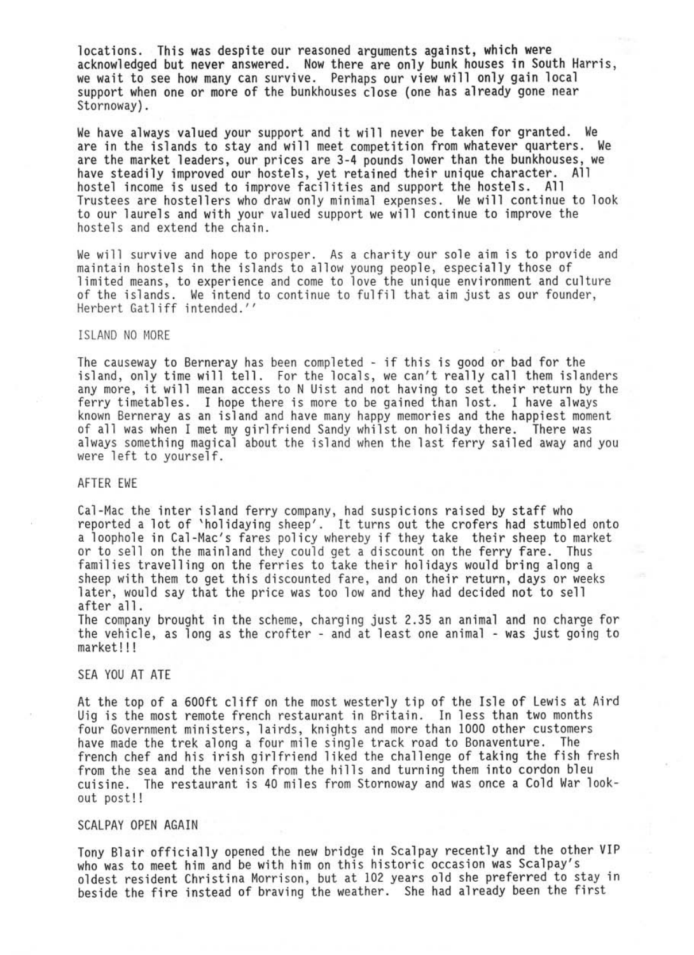locations. This was despite our reasoned arguments against, which were<br>acknowledged but never answered. Now there are only bunk houses in South Harris,<br>we wait to see how many can survive. Perhaps our view will only gain l support when one or more of the bunkhouses close (one has already gone near Stornoway).

We have always valued your support and it will never be taken for granted. We are in the islands to stay and will meet competition from whatever quarters. We are the market leaders, our prices are 3-4 pounds lower than the hostel income is used to improve facilities and support the hostels. All Trustees are hostellers who draw only minimal expenses. We will continue to look to our laurels and with your valued support we will continue to improve the hostels and extend the chain.

We will survive and hope to prosper. As a charity our sole aim is to provide and maintain hostels in the islands to allow young people, especially those of limited means, to experience and come to love the unique environment and culture of the islands. We intend to continue to fulfil that aim just as our founder, Herbert Gatliff intended."

### ISLAND NO MORE

The causeway to Berneray has been completed - if this is good or bad for the island, only time will tell. For the locals, we can't really call them islanders any more, it will mean access to N Uist and not having to set their return by the ferry timetables. I hope there is more to be gained than lost. I have always<br>known Berneray as an island and have many happy memories and the happiest moment<br>of all was when I met my girlfriend Sandy whilst on holiday ther always something magical about the island when the last ferry sailed away and you<br>were left to yourself.

#### AFTER EWE

Cal-Mac the inter island ferry company, had suspicions raised by staff who reported a lot of 'holidaying sheep'. It turns out the crofers had stumbled onto a loophole in Cal-Mac's fares policy whereby if they take their sheep to market or to sell on the mainland they could get a discount on the f later, would say that the price was too low and they had decided not to sell after all.

The company brought in the scheme, charging just 2.35 an animal and no charge for the vehicle, as long as the crofter - and at least one animal - was just going to market! ! !

# SEA YOU AT ATE

At the top of a 600ft cliff on the most westerly tip of the Isle of Lewis at Aird Uig is the most remote french restaurant in Britain. In less than two months four Government ministers, lairds, knights and more than 1000 other customers have made the trek along a four mile single track road to Bonaventure. The french chef and his irish girlfriend liked the challenge of taking the fish fresh from the sea and the venison from the hills and turning them into cordon bleu cuisine. The restaurant is 40 miles from Stornoway and was once a Cold War lookout post!!

## SCALPAY OPEN AGAIN

Tony Blair officially opened the new bridge in Scalpay recently and the other VIP who was to meet him and be with him on this historic occasion was Scalpay's<br>oldest resident Christina Morrison, but at 102 years old she preferred to stay in beside the fire instead of braving the weather. She had already been the first